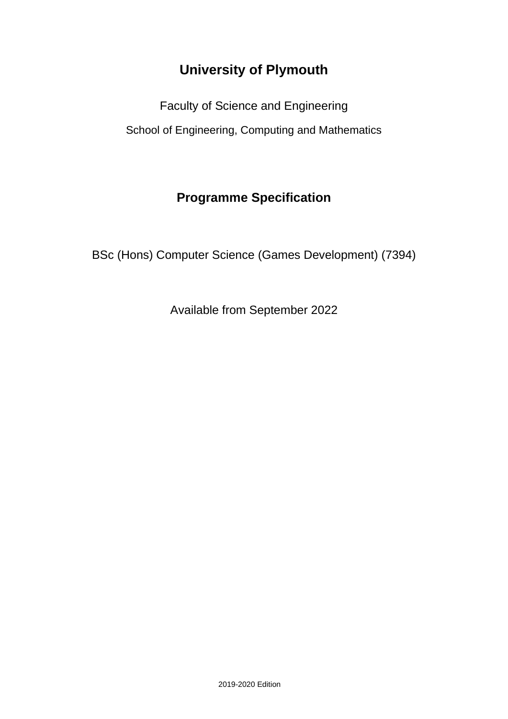# **University of Plymouth**

Faculty of Science and Engineering School of Engineering, Computing and Mathematics

# **Programme Specification**

BSc (Hons) Computer Science (Games Development) (7394)

Available from September 2022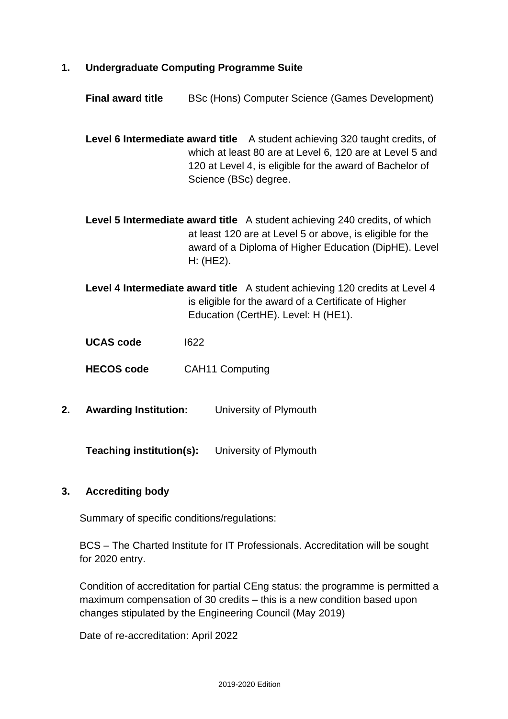- **1. Undergraduate Computing Programme Suite**
	- **Final award title** BSc (Hons) Computer Science (Games Development)

**Level 6 Intermediate award title** A student achieving 320 taught credits, of which at least 80 are at Level 6, 120 are at Level 5 and 120 at Level 4, is eligible for the award of Bachelor of Science (BSc) degree.

**Level 5 Intermediate award title** A student achieving 240 credits, of which at least 120 are at Level 5 or above, is eligible for the award of a Diploma of Higher Education (DipHE). Level H: (HE2).

**Level 4 Intermediate award title** A student achieving 120 credits at Level 4 is eligible for the award of a Certificate of Higher Education (CertHE). Level: H (HE1).

**UCAS code** I622

**HECOS code** CAH11 Computing

**2. Awarding Institution:** University of Plymouth

**Teaching institution(s):** University of Plymouth

#### **3. Accrediting body**

Summary of specific conditions/regulations:

BCS – The Charted Institute for IT Professionals. Accreditation will be sought for 2020 entry.

Condition of accreditation for partial CEng status: the programme is permitted a maximum compensation of 30 credits – this is a new condition based upon changes stipulated by the Engineering Council (May 2019)

Date of re-accreditation: April 2022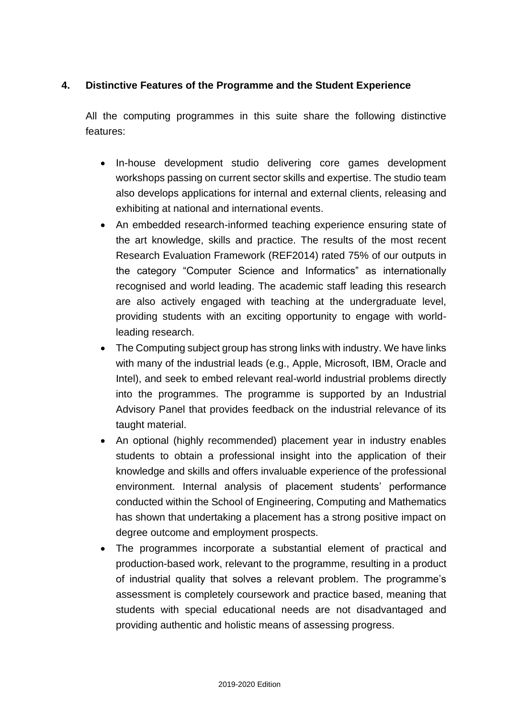### **4. Distinctive Features of the Programme and the Student Experience**

All the computing programmes in this suite share the following distinctive features:

- In-house development studio delivering core games development workshops passing on current sector skills and expertise. The studio team also develops applications for internal and external clients, releasing and exhibiting at national and international events.
- An embedded research-informed teaching experience ensuring state of the art knowledge, skills and practice. The results of the most recent Research Evaluation Framework (REF2014) rated 75% of our outputs in the category "Computer Science and Informatics" as internationally recognised and world leading. The academic staff leading this research are also actively engaged with teaching at the undergraduate level, providing students with an exciting opportunity to engage with worldleading research.
- The Computing subject group has strong links with industry. We have links with many of the industrial leads (e.g., Apple, Microsoft, IBM, Oracle and Intel), and seek to embed relevant real-world industrial problems directly into the programmes. The programme is supported by an Industrial Advisory Panel that provides feedback on the industrial relevance of its taught material.
- An optional (highly recommended) placement year in industry enables students to obtain a professional insight into the application of their knowledge and skills and offers invaluable experience of the professional environment. Internal analysis of placement students' performance conducted within the School of Engineering, Computing and Mathematics has shown that undertaking a placement has a strong positive impact on degree outcome and employment prospects.
- The programmes incorporate a substantial element of practical and production-based work, relevant to the programme, resulting in a product of industrial quality that solves a relevant problem. The programme's assessment is completely coursework and practice based, meaning that students with special educational needs are not disadvantaged and providing authentic and holistic means of assessing progress.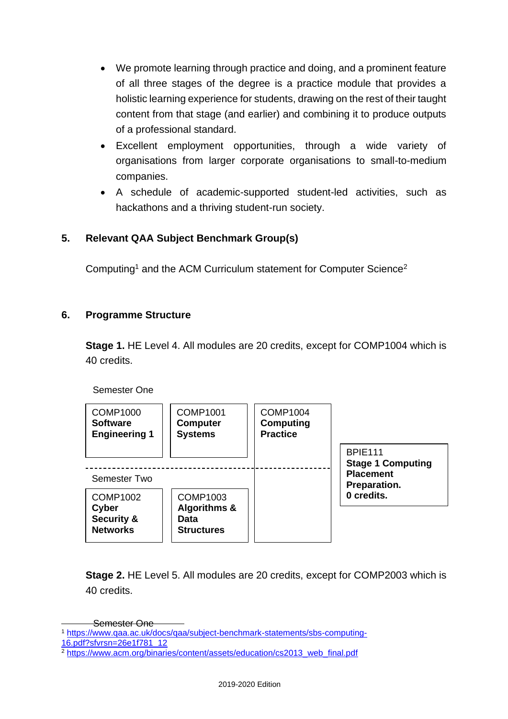- We promote learning through practice and doing, and a prominent feature of all three stages of the degree is a practice module that provides a holistic learning experience for students, drawing on the rest of their taught content from that stage (and earlier) and combining it to produce outputs of a professional standard.
- Excellent employment opportunities, through a wide variety of organisations from larger corporate organisations to small-to-medium companies.
- A schedule of academic-supported student-led activities, such as hackathons and a thriving student-run society.

### **5. Relevant QAA Subject Benchmark Group(s)**

Computing<sup>1</sup> and the ACM Curriculum statement for Computer Science<sup>2</sup>

### **6. Programme Structure**

**Stage 1.** HE Level 4. All modules are 20 credits, except for COMP1004 which is 40 credits.

Semester One

| <b>COMP1000</b><br><b>Software</b><br><b>Engineering 1</b>           | <b>COMP1001</b><br><b>Computer</b><br><b>Systems</b>                    | <b>COMP1004</b><br>Computing<br><b>Practice</b> |                                                                |
|----------------------------------------------------------------------|-------------------------------------------------------------------------|-------------------------------------------------|----------------------------------------------------------------|
| Semester Two                                                         |                                                                         |                                                 | <b>BPIE111</b><br><b>Stage 1 Computing</b><br><b>Placement</b> |
| <b>COMP1002</b><br>Cyber<br><b>Security &amp;</b><br><b>Networks</b> | <b>COMP1003</b><br><b>Algorithms &amp;</b><br>Data<br><b>Structures</b> |                                                 | Preparation.<br>0 credits.                                     |

**Stage 2.** HE Level 5. All modules are 20 credits, except for COMP2003 which is 40 credits.

Semester One

<sup>1</sup> [https://www.qaa.ac.uk/docs/qaa/subject-benchmark-statements/sbs-computing-](https://www.qaa.ac.uk/docs/qaa/subject-benchmark-statements/sbs-computing-16.pdf?sfvrsn=26e1f781_12)

[<sup>16.</sup>pdf?sfvrsn=26e1f781\\_12](https://www.qaa.ac.uk/docs/qaa/subject-benchmark-statements/sbs-computing-16.pdf?sfvrsn=26e1f781_12)

<sup>&</sup>lt;sup>2</sup> [https://www.acm.org/binaries/content/assets/education/cs2013\\_web\\_final.pdf](https://www.acm.org/binaries/content/assets/education/cs2013_web_final.pdf)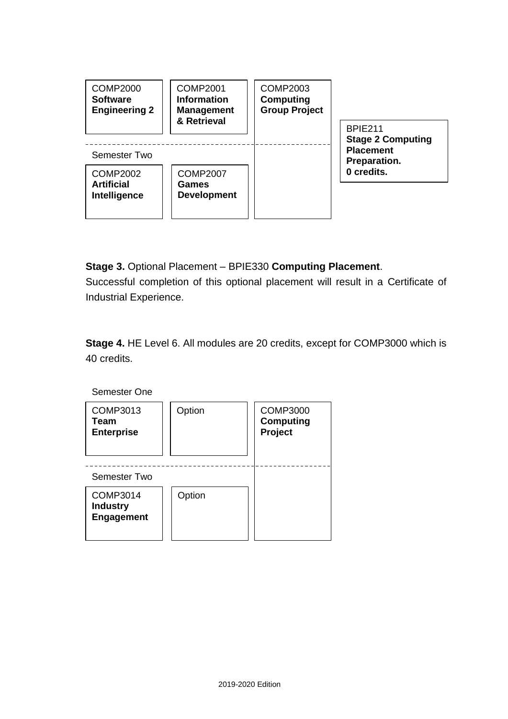

**Stage 3.** Optional Placement – BPIE330 **Computing Placement**. Successful completion of this optional placement will result in a Certificate of Industrial Experience.

**Stage 4.** HE Level 6. All modules are 20 credits, except for COMP3000 which is 40 credits.

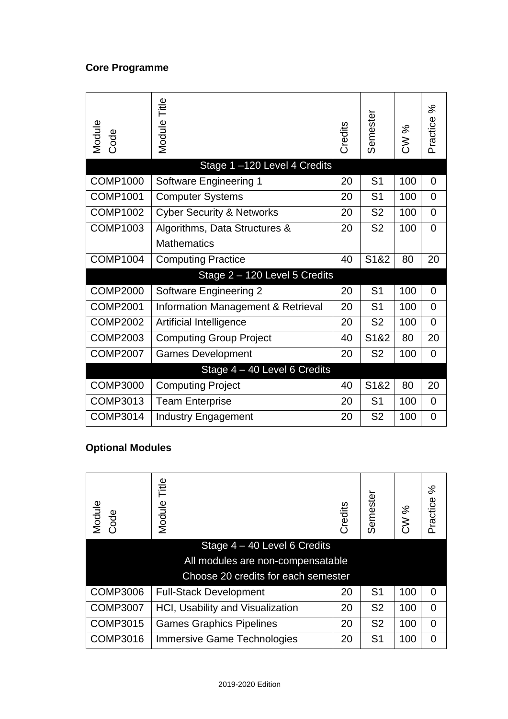### **Core Programme**

| Module<br>Code  | Title<br>Module                      | Credits | Semeste           | CW % | న<br>Practice  |
|-----------------|--------------------------------------|---------|-------------------|------|----------------|
|                 | Stage 1-120 Level 4 Credits          |         |                   |      |                |
| <b>COMP1000</b> | Software Engineering 1               | 20      | S <sub>1</sub>    | 100  | $\overline{0}$ |
| <b>COMP1001</b> | <b>Computer Systems</b>              | 20      | S <sub>1</sub>    | 100  | $\overline{0}$ |
| COMP1002        | <b>Cyber Security &amp; Networks</b> | 20      | S <sub>2</sub>    | 100  | 0              |
| <b>COMP1003</b> | Algorithms, Data Structures &        | 20      | S <sub>2</sub>    | 100  | $\overline{0}$ |
|                 | <b>Mathematics</b>                   |         |                   |      |                |
| <b>COMP1004</b> | <b>Computing Practice</b>            | 40      | S1&2              | 80   | 20             |
|                 | Stage 2 - 120 Level 5 Credits        |         |                   |      |                |
| <b>COMP2000</b> | <b>Software Engineering 2</b>        | 20      | S <sub>1</sub>    | 100  | $\overline{0}$ |
| <b>COMP2001</b> | Information Management & Retrieval   | 20      | S <sub>1</sub>    | 100  | $\overline{0}$ |
| <b>COMP2002</b> | Artificial Intelligence              | 20      | S <sub>2</sub>    | 100  | $\overline{0}$ |
| <b>COMP2003</b> | <b>Computing Group Project</b>       | 40      | S <sub>1</sub> &2 | 80   | 20             |
| <b>COMP2007</b> | <b>Games Development</b>             | 20      | S <sub>2</sub>    | 100  | $\overline{0}$ |
|                 | Stage 4 - 40 Level 6 Credits         |         |                   |      |                |
| <b>COMP3000</b> | <b>Computing Project</b>             | 40      | S <sub>1</sub> &2 | 80   | 20             |
| COMP3013        | <b>Team Enterprise</b>               | 20      | S <sub>1</sub>    | 100  | $\overline{0}$ |
| <b>COMP3014</b> | <b>Industry Engagement</b>           | 20      | S <sub>2</sub>    | 100  | 0              |

## **Optional Modules**

| Module<br>Code  | Title<br>Module                         | Credits | Semeste        | CW % | వి<br>Practice |
|-----------------|-----------------------------------------|---------|----------------|------|----------------|
|                 | Stage $4 - 40$ Level 6 Credits          |         |                |      |                |
|                 | All modules are non-compensatable       |         |                |      |                |
|                 | Choose 20 credits for each semester     |         |                |      |                |
| <b>COMP3006</b> | <b>Full-Stack Development</b>           | 20      | S <sub>1</sub> | 100  | $\Omega$       |
| <b>COMP3007</b> | <b>HCI, Usability and Visualization</b> | 20      | S <sub>2</sub> | 100  | $\overline{0}$ |
| <b>COMP3015</b> | <b>Games Graphics Pipelines</b>         | 20      | S <sub>2</sub> | 100  | $\overline{0}$ |
| <b>COMP3016</b> | <b>Immersive Game Technologies</b>      | 20      | S <sub>1</sub> | 100  | $\overline{0}$ |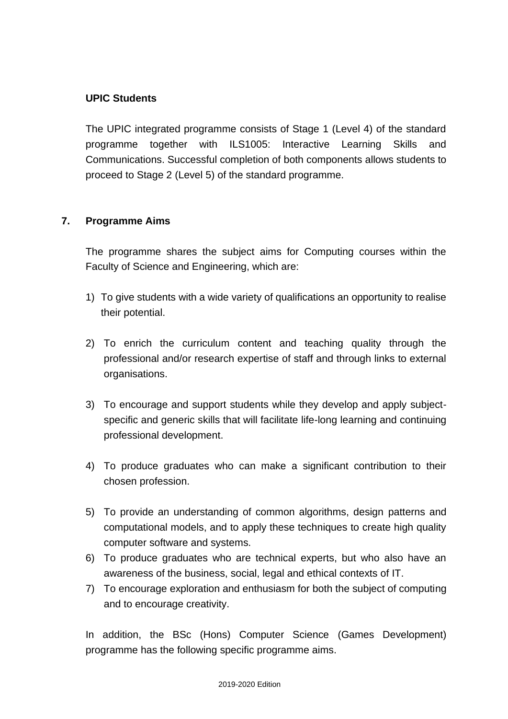### **UPIC Students**

The UPIC integrated programme consists of Stage 1 (Level 4) of the standard programme together with ILS1005: Interactive Learning Skills and Communications. Successful completion of both components allows students to proceed to Stage 2 (Level 5) of the standard programme.

### **7. Programme Aims**

The programme shares the subject aims for Computing courses within the Faculty of Science and Engineering, which are:

- 1) To give students with a wide variety of qualifications an opportunity to realise their potential.
- 2) To enrich the curriculum content and teaching quality through the professional and/or research expertise of staff and through links to external organisations.
- 3) To encourage and support students while they develop and apply subjectspecific and generic skills that will facilitate life-long learning and continuing professional development.
- 4) To produce graduates who can make a significant contribution to their chosen profession.
- 5) To provide an understanding of common algorithms, design patterns and computational models, and to apply these techniques to create high quality computer software and systems.
- 6) To produce graduates who are technical experts, but who also have an awareness of the business, social, legal and ethical contexts of IT.
- 7) To encourage exploration and enthusiasm for both the subject of computing and to encourage creativity.

In addition, the BSc (Hons) Computer Science (Games Development) programme has the following specific programme aims.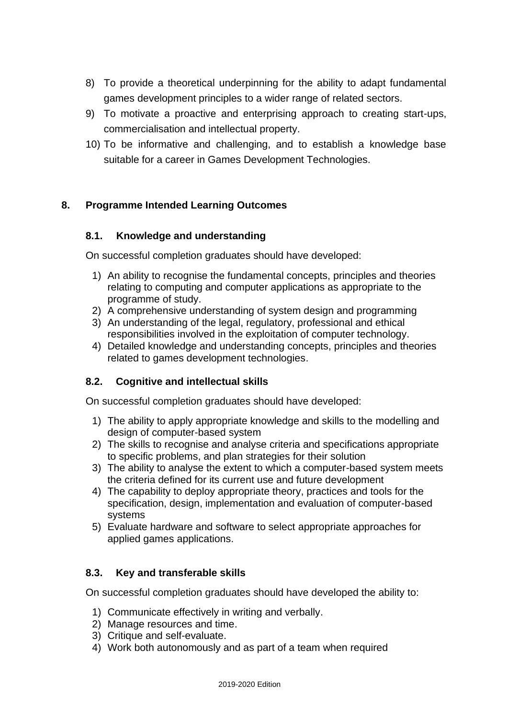- 8) To provide a theoretical underpinning for the ability to adapt fundamental games development principles to a wider range of related sectors.
- 9) To motivate a proactive and enterprising approach to creating start-ups, commercialisation and intellectual property.
- 10) To be informative and challenging, and to establish a knowledge base suitable for a career in Games Development Technologies.

### **8. Programme Intended Learning Outcomes**

### **8.1. Knowledge and understanding**

On successful completion graduates should have developed:

- 1) An ability to recognise the fundamental concepts, principles and theories relating to computing and computer applications as appropriate to the programme of study.
- 2) A comprehensive understanding of system design and programming
- 3) An understanding of the legal, regulatory, professional and ethical responsibilities involved in the exploitation of computer technology.
- 4) Detailed knowledge and understanding concepts, principles and theories related to games development technologies.

### **8.2. Cognitive and intellectual skills**

On successful completion graduates should have developed:

- 1) The ability to apply appropriate knowledge and skills to the modelling and design of computer-based system
- 2) The skills to recognise and analyse criteria and specifications appropriate to specific problems, and plan strategies for their solution
- 3) The ability to analyse the extent to which a computer-based system meets the criteria defined for its current use and future development
- 4) The capability to deploy appropriate theory, practices and tools for the specification, design, implementation and evaluation of computer-based systems
- 5) Evaluate hardware and software to select appropriate approaches for applied games applications.

### **8.3. Key and transferable skills**

On successful completion graduates should have developed the ability to:

- 1) Communicate effectively in writing and verbally.
- 2) Manage resources and time.
- 3) Critique and self-evaluate.
- 4) Work both autonomously and as part of a team when required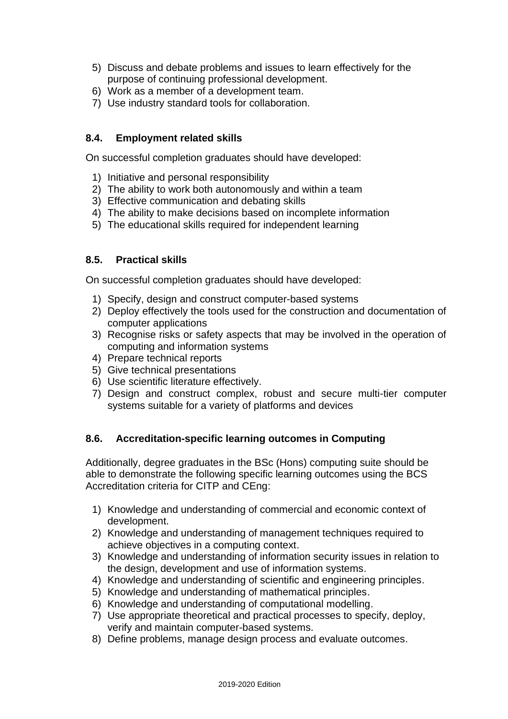- 5) Discuss and debate problems and issues to learn effectively for the purpose of continuing professional development.
- 6) Work as a member of a development team.
- 7) Use industry standard tools for collaboration.

### **8.4. Employment related skills**

On successful completion graduates should have developed:

- 1) Initiative and personal responsibility
- 2) The ability to work both autonomously and within a team
- 3) Effective communication and debating skills
- 4) The ability to make decisions based on incomplete information
- 5) The educational skills required for independent learning

### **8.5. Practical skills**

On successful completion graduates should have developed:

- 1) Specify, design and construct computer-based systems
- 2) Deploy effectively the tools used for the construction and documentation of computer applications
- 3) Recognise risks or safety aspects that may be involved in the operation of computing and information systems
- 4) Prepare technical reports
- 5) Give technical presentations
- 6) Use scientific literature effectively.
- 7) Design and construct complex, robust and secure multi-tier computer systems suitable for a variety of platforms and devices

### **8.6. Accreditation-specific learning outcomes in Computing**

Additionally, degree graduates in the BSc (Hons) computing suite should be able to demonstrate the following specific learning outcomes using the BCS Accreditation criteria for CITP and CEng:

- 1) Knowledge and understanding of commercial and economic context of development.
- 2) Knowledge and understanding of management techniques required to achieve objectives in a computing context.
- 3) Knowledge and understanding of information security issues in relation to the design, development and use of information systems.
- 4) Knowledge and understanding of scientific and engineering principles.
- 5) Knowledge and understanding of mathematical principles.
- 6) Knowledge and understanding of computational modelling.
- 7) Use appropriate theoretical and practical processes to specify, deploy, verify and maintain computer-based systems.
- 8) Define problems, manage design process and evaluate outcomes.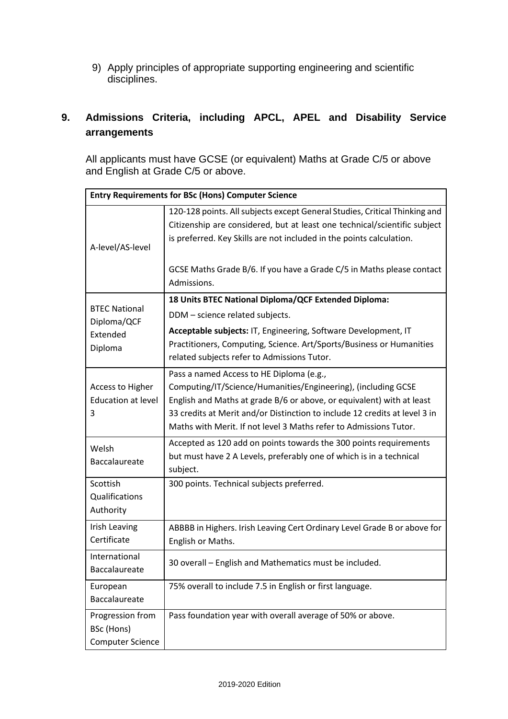9) Apply principles of appropriate supporting engineering and scientific disciplines.

## **9. Admissions Criteria, including APCL, APEL and Disability Service arrangements**

All applicants must have GCSE (or equivalent) Maths at Grade C/5 or above and English at Grade C/5 or above.

|                                                           | <b>Entry Requirements for BSc (Hons) Computer Science</b>                                                                                                                                                                                                                                                                             |  |  |  |  |  |  |  |  |  |
|-----------------------------------------------------------|---------------------------------------------------------------------------------------------------------------------------------------------------------------------------------------------------------------------------------------------------------------------------------------------------------------------------------------|--|--|--|--|--|--|--|--|--|
| A-level/AS-level                                          | 120-128 points. All subjects except General Studies, Critical Thinking and<br>Citizenship are considered, but at least one technical/scientific subject<br>is preferred. Key Skills are not included in the points calculation.                                                                                                       |  |  |  |  |  |  |  |  |  |
|                                                           | GCSE Maths Grade B/6. If you have a Grade C/5 in Maths please contact<br>Admissions.                                                                                                                                                                                                                                                  |  |  |  |  |  |  |  |  |  |
| <b>BTEC National</b>                                      | 18 Units BTEC National Diploma/QCF Extended Diploma:                                                                                                                                                                                                                                                                                  |  |  |  |  |  |  |  |  |  |
| Diploma/QCF                                               | DDM - science related subjects.                                                                                                                                                                                                                                                                                                       |  |  |  |  |  |  |  |  |  |
| Extended<br>Diploma                                       | Acceptable subjects: IT, Engineering, Software Development, IT<br>Practitioners, Computing, Science. Art/Sports/Business or Humanities<br>related subjects refer to Admissions Tutor.                                                                                                                                                 |  |  |  |  |  |  |  |  |  |
| <b>Access to Higher</b><br><b>Education at level</b><br>3 | Pass a named Access to HE Diploma (e.g.,<br>Computing/IT/Science/Humanities/Engineering), (including GCSE<br>English and Maths at grade B/6 or above, or equivalent) with at least<br>33 credits at Merit and/or Distinction to include 12 credits at level 3 in<br>Maths with Merit. If not level 3 Maths refer to Admissions Tutor. |  |  |  |  |  |  |  |  |  |
| Welsh<br>Baccalaureate                                    | Accepted as 120 add on points towards the 300 points requirements<br>but must have 2 A Levels, preferably one of which is in a technical<br>subject.                                                                                                                                                                                  |  |  |  |  |  |  |  |  |  |
| Scottish<br>Qualifications<br>Authority                   | 300 points. Technical subjects preferred.                                                                                                                                                                                                                                                                                             |  |  |  |  |  |  |  |  |  |
| Irish Leaving<br>Certificate                              | ABBBB in Highers. Irish Leaving Cert Ordinary Level Grade B or above for<br>English or Maths.                                                                                                                                                                                                                                         |  |  |  |  |  |  |  |  |  |
| International<br><b>Baccalaureate</b>                     | 30 overall - English and Mathematics must be included.                                                                                                                                                                                                                                                                                |  |  |  |  |  |  |  |  |  |
| European<br>Baccalaureate                                 | 75% overall to include 7.5 in English or first language.                                                                                                                                                                                                                                                                              |  |  |  |  |  |  |  |  |  |
| Progression from<br>BSc (Hons)<br><b>Computer Science</b> | Pass foundation year with overall average of 50% or above.                                                                                                                                                                                                                                                                            |  |  |  |  |  |  |  |  |  |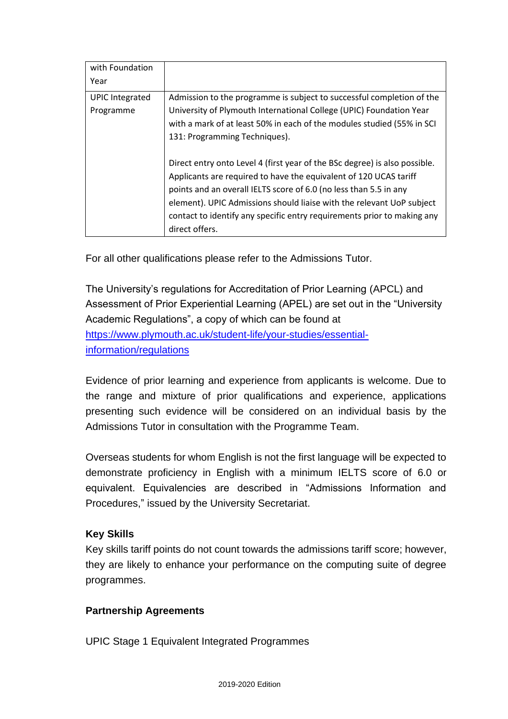| with Foundation        |                                                                            |
|------------------------|----------------------------------------------------------------------------|
| Year                   |                                                                            |
| <b>UPIC Integrated</b> | Admission to the programme is subject to successful completion of the      |
| Programme              | University of Plymouth International College (UPIC) Foundation Year        |
|                        | with a mark of at least 50% in each of the modules studied (55% in SCI     |
|                        | 131: Programming Techniques).                                              |
|                        |                                                                            |
|                        | Direct entry onto Level 4 (first year of the BSc degree) is also possible. |
|                        | Applicants are required to have the equivalent of 120 UCAS tariff          |
|                        | points and an overall IELTS score of 6.0 (no less than 5.5 in any          |
|                        | element). UPIC Admissions should liaise with the relevant UoP subject      |
|                        | contact to identify any specific entry requirements prior to making any    |
|                        | direct offers.                                                             |

For all other qualifications please refer to the Admissions Tutor.

The University's regulations for Accreditation of Prior Learning (APCL) and Assessment of Prior Experiential Learning (APEL) are set out in the "University Academic Regulations", a copy of which can be found at [https://www.plymouth.ac.uk/student-life/your-studies/essential](https://www.plymouth.ac.uk/student-life/your-studies/essential-information/regulations)[information/regulations](https://www.plymouth.ac.uk/student-life/your-studies/essential-information/regulations)

Evidence of prior learning and experience from applicants is welcome. Due to the range and mixture of prior qualifications and experience, applications presenting such evidence will be considered on an individual basis by the Admissions Tutor in consultation with the Programme Team.

Overseas students for whom English is not the first language will be expected to demonstrate proficiency in English with a minimum IELTS score of 6.0 or equivalent. Equivalencies are described in "Admissions Information and Procedures," issued by the University Secretariat.

## **Key Skills**

Key skills tariff points do not count towards the admissions tariff score; however, they are likely to enhance your performance on the computing suite of degree programmes.

## **Partnership Agreements**

UPIC Stage 1 Equivalent Integrated Programmes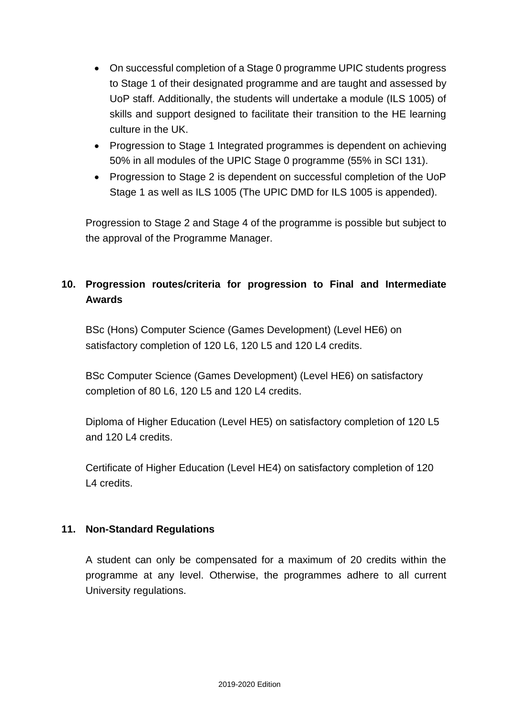- On successful completion of a Stage 0 programme UPIC students progress to Stage 1 of their designated programme and are taught and assessed by UoP staff. Additionally, the students will undertake a module (ILS 1005) of skills and support designed to facilitate their transition to the HE learning culture in the UK.
- Progression to Stage 1 Integrated programmes is dependent on achieving 50% in all modules of the UPIC Stage 0 programme (55% in SCI 131).
- Progression to Stage 2 is dependent on successful completion of the UoP Stage 1 as well as ILS 1005 (The UPIC DMD for ILS 1005 is appended).

Progression to Stage 2 and Stage 4 of the programme is possible but subject to the approval of the Programme Manager.

## **10. Progression routes/criteria for progression to Final and Intermediate Awards**

BSc (Hons) Computer Science (Games Development) (Level HE6) on satisfactory completion of 120 L6, 120 L5 and 120 L4 credits.

BSc Computer Science (Games Development) (Level HE6) on satisfactory completion of 80 L6, 120 L5 and 120 L4 credits.

Diploma of Higher Education (Level HE5) on satisfactory completion of 120 L5 and 120 L4 credits.

Certificate of Higher Education (Level HE4) on satisfactory completion of 120 L4 credits.

### **11. Non-Standard Regulations**

A student can only be compensated for a maximum of 20 credits within the programme at any level. Otherwise, the programmes adhere to all current University regulations.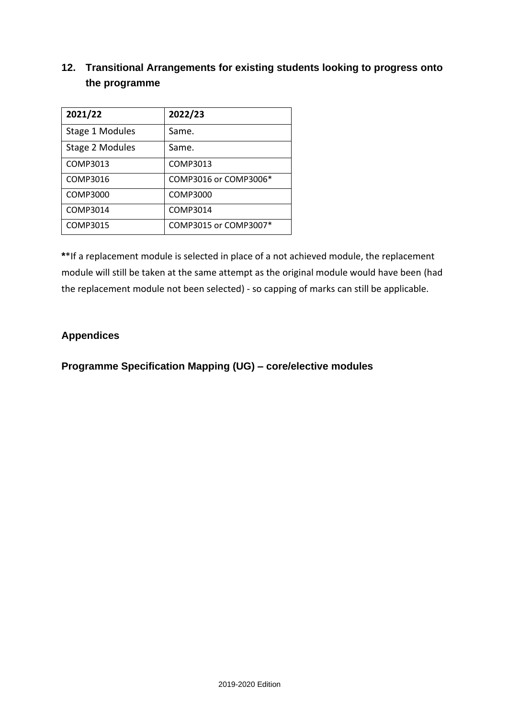## **12. Transitional Arrangements for existing students looking to progress onto the programme**

| 2021/22         | 2022/23               |
|-----------------|-----------------------|
| Stage 1 Modules | Same.                 |
| Stage 2 Modules | Same.                 |
| COMP3013        | COMP3013              |
| COMP3016        | COMP3016 or COMP3006* |
| COMP3000        | COMP3000              |
| COMP3014        | COMP3014              |
| COMP3015        | COMP3015 or COMP3007* |

**\***\*If a replacement module is selected in place of a not achieved module, the replacement module will still be taken at the same attempt as the original module would have been (had the replacement module not been selected) - so capping of marks can still be applicable.

### **Appendices**

**Programme Specification Mapping (UG) – core/elective modules**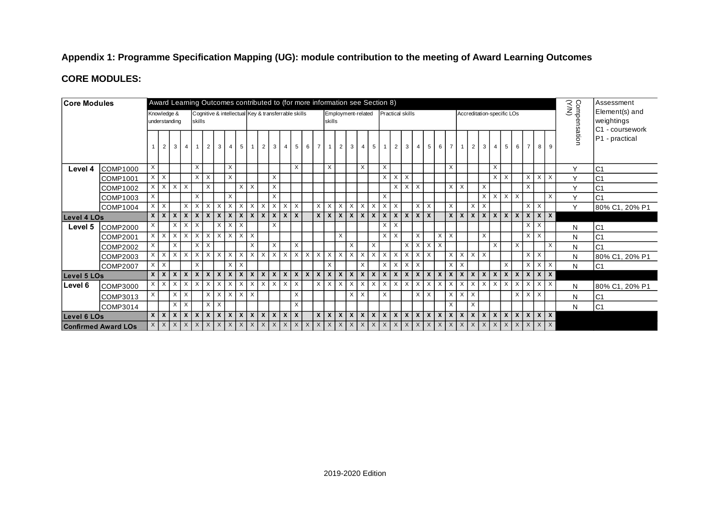### **Appendix 1: Programme Specification Mapping (UG): module contribution to the meeting of Award Learning Outcomes**

### **CORE MODULES:**

| <b>Core Modules</b> | Award Learning Outcomes contributed to (for more information see Section 8) |                           |               |                              |                 |                |                                 |                   |            |                     |          |                                                     | Comp<br>CYN) | Assessment     |                     |          |                |                           |          |              |                                       |          |                             |          |                |            |                   |            |              |                           |                 |                            |            |          |            |                                       |          |              |                |                                                 |
|---------------------|-----------------------------------------------------------------------------|---------------------------|---------------|------------------------------|-----------------|----------------|---------------------------------|-------------------|------------|---------------------|----------|-----------------------------------------------------|--------------|----------------|---------------------|----------|----------------|---------------------------|----------|--------------|---------------------------------------|----------|-----------------------------|----------|----------------|------------|-------------------|------------|--------------|---------------------------|-----------------|----------------------------|------------|----------|------------|---------------------------------------|----------|--------------|----------------|-------------------------------------------------|
|                     |                                                                             |                           |               | Knowledge &<br>understanding |                 | skills         |                                 |                   |            |                     |          | Cognitive & intellectual Key & transferrable skills |              |                |                     |          |                | skills                    |          |              | Employment-related                    |          | <b>Practical skills</b>     |          |                |            |                   |            |              |                           |                 | Accreditation-specific LOs |            |          |            |                                       |          |              |                | Element(s) and<br>weightings<br>C1 - coursework |
|                     |                                                                             |                           | $\mathcal{P}$ | $\overline{3}$               | $\overline{4}$  |                | $1\vert 2$                      | 3 <sup>1</sup>    | $4 \vert$  | 5                   |          | 2                                                   | $\mathbf{3}$ | $\overline{4}$ | $5\overline{5}$     | 6        | $\overline{7}$ | $\overline{1}$            |          |              | $2 \mid 3 \mid 4$                     |          | $5 \quad 1 \quad 2 \quad 3$ |          |                | $4 \vert$  | 5 <sup>1</sup>    |            | 6 7          | $\vert$ 1                 | <sup>2</sup>    |                            | $3 \mid 4$ | 5        |            | 6   7                                 | 8        | 9            | <b>Isation</b> | P1 - practical                                  |
| Level 4             | <b>COMP1000</b>                                                             | $\boldsymbol{\mathsf{x}}$ |               |                              |                 | $\times$       |                                 |                   | $\times$   |                     |          |                                                     |              |                | $\times$            |          |                | $\times$                  |          |              | $\times$                              |          | X                           |          |                |            |                   |            | $\times$     |                           |                 |                            | $\times$   |          |            |                                       |          |              | Y              | C <sub>1</sub>                                  |
|                     | COMP1001                                                                    | $\times$                  | $\times$      |                              |                 |                | $x \mid x$                      |                   | $\times$   |                     |          |                                                     | $\times$     |                |                     |          |                |                           |          |              |                                       |          | $\times$                    |          | $X \times$     |            |                   |            |              |                           |                 |                            |            | $X$ $X$  |            | $\times$                              | X        | $\mathsf{X}$ | $\vee$         | C <sub>1</sub>                                  |
|                     | <b>COMP1002</b>                                                             | X                         | $\times$      | $\times$                     | $\times$        |                | $\times$                        |                   |            | $\times$            | $\times$ |                                                     | X            |                |                     |          |                |                           |          |              |                                       |          |                             | X        | $\times$       | $\times$   |                   |            | $\times$     | $\boldsymbol{\mathsf{X}}$ |                 | X                          |            |          |            | $\boldsymbol{\mathsf{X}}$             |          |              | $\mathsf{Y}$   | C <sub>1</sub>                                  |
|                     | <b>COMP1003</b>                                                             | X                         |               |                              |                 | $\overline{X}$ |                                 |                   | X          |                     |          |                                                     | X            |                |                     |          |                |                           |          |              |                                       |          | X                           |          |                |            |                   |            |              |                           |                 |                            | $X$ $X$    |          | $X$ $X$    |                                       |          | $\times$     | $\checkmark$   | C <sub>1</sub>                                  |
|                     | <b>COMP1004</b>                                                             | X                         | $\times$      |                              | $\times$        | $\times$       | $\times$                        | $\times$          | $\times$   | $\times$            | X        | $\times$                                            | X            | $\times$       | $\mathbf{1} \times$ |          | $\mathsf{X}$   | $\times$                  | X        | $\mathsf{X}$ | $\times$                              | $\times$ | X                           | $\times$ |                |            | $x \mid x$        |            | $\times$     |                           | X               | X                          |            |          |            | X                                     | $\times$ |              | $\mathsf{Y}$   | 80% C1, 20% P1                                  |
| Level 4 LOs         |                                                                             | $\mathsf{x}$              | $\mathsf{x}$  |                              | x   x           |                | $x \mid x$                      |                   | x   x      | $\mathsf{x}$        |          | x   x                                               |              | x x x x        |                     |          |                |                           |          |              | $x \mid x \mid x \mid x \mid x$       |          |                             |          | x   x   x      | $x \mid x$ |                   |            |              |                           |                 |                            |            |          |            | x   x   x   x   x   x   x   x   x   x |          |              |                |                                                 |
| Level 5             | <b>COMP2000</b>                                                             | $\times$                  |               |                              | $X$ $X$ $X$     |                |                                 | $\times$ 1        |            | $\times$   $\times$ |          |                                                     | X            |                |                     |          |                |                           |          |              |                                       |          | $\times$                    | $\times$ |                |            |                   |            |              |                           |                 |                            |            |          |            | $\times$                              | X        |              | N              | C <sub>1</sub>                                  |
|                     | <b>COMP2001</b>                                                             | X                         | $\times$      | $\mathsf{X}$                 | $\times$        |                | $X$ $X$                         | $\times$          | $\times$ 1 | $\times$            | X        |                                                     |              |                |                     |          |                |                           | X        |              |                                       |          | $\times$                    | $\times$ |                | $\times$   |                   | X          | $\times$     |                           |                 | X                          |            |          |            | X                                     | $\times$ |              | N              | C <sub>1</sub>                                  |
|                     | <b>COMP2002</b>                                                             | X                         |               | $\mathsf{X}$                 |                 |                | $X \mid X$                      |                   |            |                     | X        |                                                     | $\times$     |                | $\times$            |          |                |                           |          | X            |                                       | $\times$ |                             |          | $\overline{X}$ |            | $X$ $X$ $X$       |            |              |                           |                 |                            | $\times$   |          | $\times$   |                                       |          | $\times$     | N              | C <sub>1</sub>                                  |
|                     | COMP2003                                                                    | $\times$                  | $\times$      | $\times$                     | $\times$        |                | $x \mid x$                      | $\times$          |            | $X$ $\vert$ $X$     | X        | $\mathsf{X}$                                        |              | X X X          |                     | $\times$ | $\times$       | $\times$                  | $\times$ | $\mathsf{X}$ | $\times$                              | $\times$ | $\times$                    | X        | $\times$       | $x \mid x$ |                   |            | $\times$     |                           | $X$ $X$ $X$     |                            |            |          |            | $\times$                              | $\times$ |              | N              | 80% C1, 20% P1                                  |
|                     | <b>COMP2007</b>                                                             |                           | $X$ $X$       |                              |                 | $\times$       |                                 |                   |            | $X$ $X$             |          |                                                     |              |                |                     |          |                | X                         |          |              | X                                     |          | $\times$                    | $\times$ | $\times$       | $\times$   |                   |            | $\times$     | $\times$                  |                 |                            |            | $\times$ |            | $\times$                              | $\times$ | $\mathsf{X}$ | N              | C <sub>1</sub>                                  |
| Level 5 LOs         |                                                                             |                           | $x \mid x$    |                              | $x \mid x \mid$ |                | $x \mid x$                      | $\times$          |            | $x \mid x$          |          | $x \mid x$                                          |              |                |                     |          |                |                           |          |              | x   x   x   x   x   x   x   x   x   x |          |                             |          | x   x   x      |            | $x \mid x \mid x$ |            | $\mathsf{x}$ |                           | $x \mid x \mid$ | $X$ $X$                    |            |          |            | $x \mid x \mid x \mid x$              |          |              |                |                                                 |
| Level 6             | COMP3000                                                                    | $\times$                  | $\times$      | $\times$                     | $\times$        |                | $\overline{x}$   $\overline{x}$ | $\times$          | $\times$   | $\times$            | X        | $\times$                                            | $\times$     | $x \mid x$     |                     |          | $\times$       | $\boldsymbol{\mathsf{x}}$ | X        | $\times$     | $\times$                              | $\times$ | $\times$                    | $\times$ | $\times$       | $\times$   | $\times$          | $\times$   | $\times$     | $\times$                  | $\times$        | X                          | $\times$   | $\times$ | $x \mid x$ |                                       | $\times$ | $\mathsf{X}$ | N              | 80% C1, 20% P1                                  |
|                     | COMP3013                                                                    | X                         |               |                              | $x \mid x$      |                |                                 | $x \overline{)x}$ |            | $X$ $X$ $X$         |          |                                                     |              |                | $\times$            |          |                |                           |          | $\times$     | $\mathsf{X}$                          |          | $\times$                    |          |                |            | $x \mid x$        |            | $\times$     |                           | $X$ $X$         |                            |            |          |            | $X$ $X$ $X$                           |          |              | N              | C <sub>1</sub>                                  |
|                     | COMP3014                                                                    |                           |               |                              | $x \mid x$      |                | $\times$                        | $\times$          |            |                     |          |                                                     |              |                | $\times$            |          |                |                           |          |              |                                       |          |                             |          |                |            |                   |            | $\times$     |                           | X               |                            |            |          |            |                                       |          |              | N              | C <sub>1</sub>                                  |
| <b>Level 6 LOs</b>  |                                                                             |                           | $x \mid x$    |                              | $x \mid x \mid$ |                | $x \mid x$                      | $x \mid$          |            | x   x               |          | $X$ $X$                                             | $\mathsf{x}$ | $x \mid x$     |                     |          |                |                           |          |              | x   x   x   x   x   x                 |          | $x \mid x$                  |          | $\mathsf{x}$   | $x \mid$   |                   | $x \mid x$ | $\mathsf{x}$ | $\mathbf{x}$              | $\mathsf{x}$    |                            | $X$ $X$    |          |            | $x \mid x \mid x \mid x$              |          |              |                |                                                 |
|                     | <b>Confirmed Award LOs</b>                                                  |                           |               |                              |                 |                |                                 |                   |            |                     |          |                                                     |              |                |                     |          |                |                           |          |              |                                       |          |                             |          |                |            |                   |            |              |                           |                 |                            |            |          |            |                                       |          |              |                |                                                 |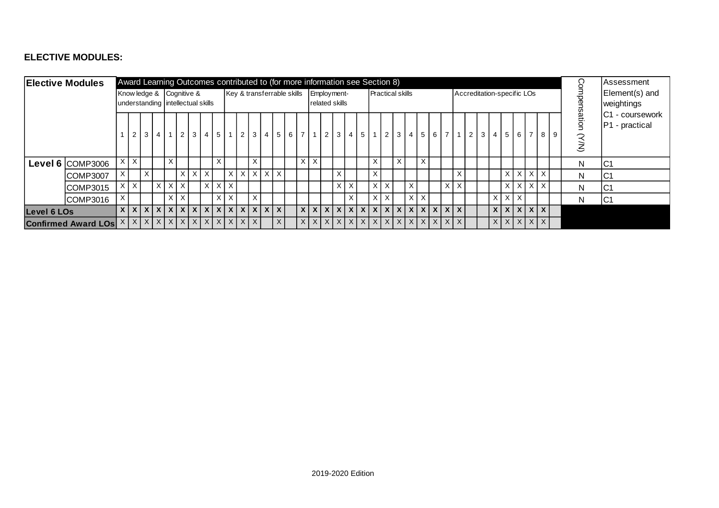### **ELECTIVE MODULES:**

|             | <b>Elective Modules</b>       | Award Learning Outcomes contributed to (for more information see Section 8) |          |                |                |          |                          |              |                                   |            |                            |  |                          |  |          |          |               | Assessment            |          |                         |   |   |                |            |                                       |              |                            |   |                                                             |                          |  |     |                          |                                          |  |
|-------------|-------------------------------|-----------------------------------------------------------------------------|----------|----------------|----------------|----------|--------------------------|--------------|-----------------------------------|------------|----------------------------|--|--------------------------|--|----------|----------|---------------|-----------------------|----------|-------------------------|---|---|----------------|------------|---------------------------------------|--------------|----------------------------|---|-------------------------------------------------------------|--------------------------|--|-----|--------------------------|------------------------------------------|--|
|             |                               |                                                                             |          |                |                |          | Know ledge & Cognitive & |              | understanding intellectual skills |            | Key & transferrable skills |  |                          |  |          |          | Employment-   | <b>related skills</b> |          | <b>Practical skills</b> |   |   |                |            |                                       |              | Accreditation-specific LOs |   |                                                             |                          |  |     |                          | Element(s) and<br>weightings             |  |
|             |                               |                                                                             | 2        | 3 <sup>1</sup> | 4 <sup>1</sup> |          | 2 <sup>1</sup>           | $\mathbf{3}$ |                                   | $4 \mid 5$ |                            |  | $2 \mid 3 \mid 4 \mid 5$ |  |          | $6 \mid$ | 7 1 2 3       |                       |          | 4   5   1   2           |   | 3 | $\overline{4}$ |            | 5 6 7                                 |              | $1 \mid 2 \mid 3 \mid 4$   |   | 5 <sup>5</sup>                                              | 6 I                      |  | 789 | ation<br>$\widetilde{S}$ | <b>C1</b> - coursework<br>P1 - practical |  |
|             | <b>Level 6 COMP3006</b>       | X                                                                           | X        |                |                | X        |                          |              |                                   | X          |                            |  | $\times$                 |  |          |          | $X$ $X$       |                       |          | $\times$                |   | X |                | $\times$   |                                       |              |                            |   |                                                             |                          |  |     | N                        | IC1                                      |  |
|             | COMP3007                      | X                                                                           |          | X              |                |          | $\times$                 | $\times$     | $\times$                          |            | $\times$                   |  | $x \mid x \mid x \mid x$ |  |          |          |               | X                     |          | X                       |   |   |                |            |                                       | X            |                            |   |                                                             | $X$ $X$ $X$ $X$          |  |     | N                        | IC1                                      |  |
|             | COMP3015                      | $\times$                                                                    | $\times$ |                | $\times$       | $\times$ | $\mathsf{X}$             |              |                                   |            | $X$ $X$ $X$                |  |                          |  |          |          |               | X                     | $\times$ | X                       | X |   | $\times$       |            | X                                     | $\times$     |                            |   |                                                             | $x \mid x \mid x \mid x$ |  |     | N                        | IC1                                      |  |
|             | COMP3016                      | X                                                                           |          |                |                |          | $\times$                 |              |                                   | $\sf X$    | $\times$                   |  | $\mathsf{X}$             |  |          |          |               |                       | X.       | $\mathsf{X}$            | X |   |                | $x \mid x$ |                                       |              |                            | X |                                                             | $X$ $X$                  |  |     | N                        | IC <sub>1</sub>                          |  |
| Level 6 LOs |                               | $\mathsf{x}$                                                                |          |                |                |          |                          |              | x   x   x   x   x   x   x   x     |            | $\mathsf{X}$               |  | x   x   x   x            |  |          |          | x   x   x   x |                       |          |                         |   |   |                |            | x   x   x   x   x   x   x   x   x     | $\mathbf{x}$ |                            |   | x   x   x   x   x                                           |                          |  |     |                          |                                          |  |
|             | <b>Confirmed Award LOs XX</b> |                                                                             |          |                |                |          |                          |              | x   x   x   x   x   x   x   x     |            | $\mathsf{X}$               |  | $X$ $X$                  |  | $\times$ |          | x   x   x   x |                       |          |                         |   |   |                |            | x   x   x   x   x   x   x   x   x   x | $\mathsf{X}$ |                            |   | $x$ $\vert x \vert$ $x$ $\vert x \vert$ $x$ $\vert x \vert$ |                          |  |     |                          |                                          |  |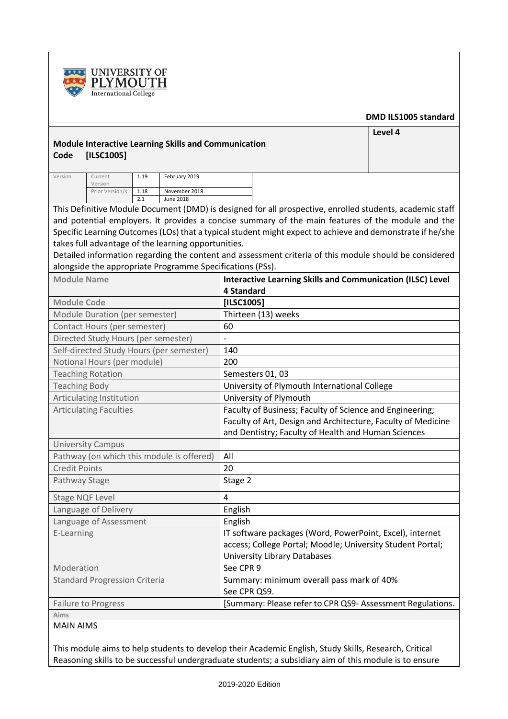



#### **DMD ILS1005 standard**

**Level 4**

### **Module Interactive Learning Skills and Communication Code [ILSC1005]**

| Version | Current<br>Version | 1.19 | February 2019 |  |  |  |  |  |  |  |
|---------|--------------------|------|---------------|--|--|--|--|--|--|--|
|         | Prior Version/s    | 1.18 | November 2018 |  |  |  |  |  |  |  |
|         |                    |      | June 2018     |  |  |  |  |  |  |  |

This Definitive Module Document (DMD) is designed for all prospective, enrolled students, academic staff and potential employers. It provides a concise summary of the main features of the module and the Specific Learning Outcomes (LOs) that a typical student might expect to achieve and demonstrate if he/she takes full advantage of the learning opportunities.

Detailed information regarding the content and assessment criteria of this module should be considered alongside the appropriate Programme Specifications (PSs).

| <b>Module Name</b>                        | <b>Interactive Learning Skills and Communication (ILSC) Level</b> |
|-------------------------------------------|-------------------------------------------------------------------|
|                                           | <b>4 Standard</b>                                                 |
| <b>Module Code</b>                        | [ILSC1005]                                                        |
| Module Duration (per semester)            | Thirteen (13) weeks                                               |
| Contact Hours (per semester)              | 60                                                                |
| Directed Study Hours (per semester)       |                                                                   |
| Self-directed Study Hours (per semester)  | 140                                                               |
| Notional Hours (per module)               | 200                                                               |
| <b>Teaching Rotation</b>                  | Semesters 01, 03                                                  |
| <b>Teaching Body</b>                      | University of Plymouth International College                      |
| Articulating Institution                  | University of Plymouth                                            |
| <b>Articulating Faculties</b>             | Faculty of Business; Faculty of Science and Engineering;          |
|                                           | Faculty of Art, Design and Architecture, Faculty of Medicine      |
|                                           | and Dentistry; Faculty of Health and Human Sciences               |
| <b>University Campus</b>                  |                                                                   |
| Pathway (on which this module is offered) | All                                                               |
| <b>Credit Points</b>                      | 20                                                                |
| Pathway Stage                             | Stage 2                                                           |
| <b>Stage NQF Level</b>                    | $\overline{4}$                                                    |
| Language of Delivery                      | English                                                           |
| Language of Assessment                    | English                                                           |
| E-Learning                                | IT software packages (Word, PowerPoint, Excel), internet          |
|                                           | access; College Portal; Moodle; University Student Portal;        |
|                                           | <b>University Library Databases</b>                               |
| Moderation                                | See CPR 9                                                         |
| <b>Standard Progression Criteria</b>      | Summary: minimum overall pass mark of 40%                         |
|                                           | See CPR QS9.                                                      |
| <b>Failure to Progress</b>                | [Summary: Please refer to CPR QS9- Assessment Regulations.        |
| Aims                                      |                                                                   |

#### MAIN AIMS

This module aims to help students to develop their Academic English, Study Skills, Research, Critical Reasoning skills to be successful undergraduate students; a subsidiary aim of this module is to ensure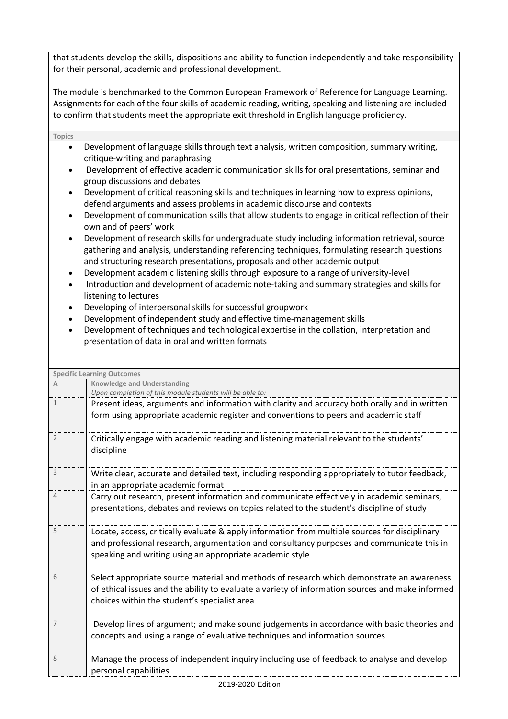that students develop the skills, dispositions and ability to function independently and take responsibility for their personal, academic and professional development.

The module is benchmarked to the Common European Framework of Reference for Language Learning. Assignments for each of the four skills of academic reading, writing, speaking and listening are included to confirm that students meet the appropriate exit threshold in English language proficiency.

• Development of language skills through text analysis, written composition, summary writing,

**Topics**

|                             | critique-writing and paraphrasing<br>Development of effective academic communication skills for oral presentations, seminar and                                                                                                                                                                                                                                                                                                                                      |
|-----------------------------|----------------------------------------------------------------------------------------------------------------------------------------------------------------------------------------------------------------------------------------------------------------------------------------------------------------------------------------------------------------------------------------------------------------------------------------------------------------------|
|                             | group discussions and debates                                                                                                                                                                                                                                                                                                                                                                                                                                        |
|                             | Development of critical reasoning skills and techniques in learning how to express opinions,<br>defend arguments and assess problems in academic discourse and contexts                                                                                                                                                                                                                                                                                              |
| $\bullet$                   | Development of communication skills that allow students to engage in critical reflection of their<br>own and of peers' work                                                                                                                                                                                                                                                                                                                                          |
| ٠<br>$\bullet$<br>$\bullet$ | Development of research skills for undergraduate study including information retrieval, source<br>gathering and analysis, understanding referencing techniques, formulating research questions<br>and structuring research presentations, proposals and other academic output<br>Development academic listening skills through exposure to a range of university-level<br>Introduction and development of academic note-taking and summary strategies and skills for |
| $\bullet$                   | listening to lectures<br>Developing of interpersonal skills for successful groupwork                                                                                                                                                                                                                                                                                                                                                                                 |
| $\bullet$<br>$\bullet$      | Development of independent study and effective time-management skills<br>Development of techniques and technological expertise in the collation, interpretation and<br>presentation of data in oral and written formats                                                                                                                                                                                                                                              |
|                             |                                                                                                                                                                                                                                                                                                                                                                                                                                                                      |
|                             | <b>Specific Learning Outcomes</b>                                                                                                                                                                                                                                                                                                                                                                                                                                    |
| A                           | <b>Knowledge and Understanding</b><br>Upon completion of this module students will be able to:                                                                                                                                                                                                                                                                                                                                                                       |
| $\mathbf{1}$                | Present ideas, arguments and information with clarity and accuracy both orally and in written<br>form using appropriate academic register and conventions to peers and academic staff                                                                                                                                                                                                                                                                                |
| $\overline{2}$              | Critically engage with academic reading and listening material relevant to the students'<br>discipline                                                                                                                                                                                                                                                                                                                                                               |
| 3                           | Write clear, accurate and detailed text, including responding appropriately to tutor feedback,<br>in an appropriate academic format                                                                                                                                                                                                                                                                                                                                  |
| 4                           | Carry out research, present information and communicate effectively in academic seminars,<br>presentations, debates and reviews on topics related to the student's discipline of study                                                                                                                                                                                                                                                                               |
| 5                           | Locate, access, critically evaluate & apply information from multiple sources for disciplinary<br>and professional research, argumentation and consultancy purposes and communicate this in<br>speaking and writing using an appropriate academic style                                                                                                                                                                                                              |
| 6                           | Select appropriate source material and methods of research which demonstrate an awareness<br>of ethical issues and the ability to evaluate a variety of information sources and make informed<br>choices within the student's specialist area                                                                                                                                                                                                                        |
| 7                           | Develop lines of argument; and make sound judgements in accordance with basic theories and<br>concepts and using a range of evaluative techniques and information sources                                                                                                                                                                                                                                                                                            |
| 8                           | Manage the process of independent inquiry including use of feedback to analyse and develop<br>personal capabilities                                                                                                                                                                                                                                                                                                                                                  |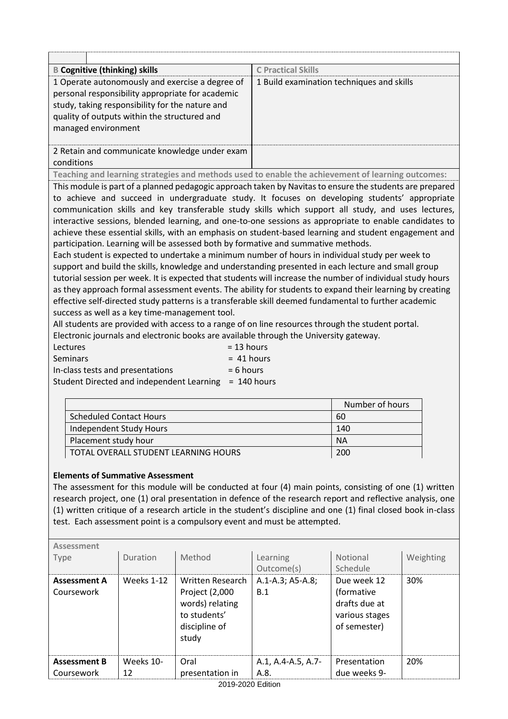| <b>B Cognitive (thinking) skills</b>                                                                                                                                                                                                                                                                                                                                                                                                                   | <b>C</b> Practical Skills                                                                                                                                                                                                                                                                                                                                                                                                                                                                                                                                                                                                                                                                                                                                    |
|--------------------------------------------------------------------------------------------------------------------------------------------------------------------------------------------------------------------------------------------------------------------------------------------------------------------------------------------------------------------------------------------------------------------------------------------------------|--------------------------------------------------------------------------------------------------------------------------------------------------------------------------------------------------------------------------------------------------------------------------------------------------------------------------------------------------------------------------------------------------------------------------------------------------------------------------------------------------------------------------------------------------------------------------------------------------------------------------------------------------------------------------------------------------------------------------------------------------------------|
| 1 Operate autonomously and exercise a degree of<br>personal responsibility appropriate for academic<br>study, taking responsibility for the nature and<br>quality of outputs within the structured and<br>managed environment                                                                                                                                                                                                                          | 1 Build examination techniques and skills                                                                                                                                                                                                                                                                                                                                                                                                                                                                                                                                                                                                                                                                                                                    |
| 2 Retain and communicate knowledge under exam                                                                                                                                                                                                                                                                                                                                                                                                          |                                                                                                                                                                                                                                                                                                                                                                                                                                                                                                                                                                                                                                                                                                                                                              |
| conditions                                                                                                                                                                                                                                                                                                                                                                                                                                             |                                                                                                                                                                                                                                                                                                                                                                                                                                                                                                                                                                                                                                                                                                                                                              |
| Teaching and learning strategies and methods used to enable the achievement of learning outcomes:                                                                                                                                                                                                                                                                                                                                                      |                                                                                                                                                                                                                                                                                                                                                                                                                                                                                                                                                                                                                                                                                                                                                              |
| participation. Learning will be assessed both by formative and summative methods.<br>Each student is expected to undertake a minimum number of hours in individual study per week to<br>support and build the skills, knowledge and understanding presented in each lecture and small group<br>effective self-directed study patterns is a transferable skill deemed fundamental to further academic<br>success as well as a key time-management tool. | This module is part of a planned pedagogic approach taken by Navitas to ensure the students are prepared<br>to achieve and succeed in undergraduate study. It focuses on developing students' appropriate<br>communication skills and key transferable study skills which support all study, and uses lectures,<br>interactive sessions, blended learning, and one-to-one sessions as appropriate to enable candidates to<br>achieve these essential skills, with an emphasis on student-based learning and student engagement and<br>tutorial session per week. It is expected that students will increase the number of individual study hours<br>as they approach formal assessment events. The ability for students to expand their learning by creating |
| All students are provided with access to a range of on line resources through the student portal.<br>Electronic journals and electronic books are available through the University gateway.                                                                                                                                                                                                                                                            |                                                                                                                                                                                                                                                                                                                                                                                                                                                                                                                                                                                                                                                                                                                                                              |

| LIECHONIC JOURNALS AND CIECHONIC DOORS ALE AVAILABLE HITO |              |
|-----------------------------------------------------------|--------------|
| <b>Lectures</b>                                           | $= 13$ hours |
| <b>Seminars</b>                                           | $=$ 41 hours |
| In-class tests and presentations                          | $= 6$ hours  |
| Student Directed and independent Learning = 140 hours     |              |

|                                      | Number of hours |
|--------------------------------------|-----------------|
| <b>Scheduled Contact Hours</b>       | 60              |
| Independent Study Hours              | 140             |
| Placement study hour                 | <b>NA</b>       |
| TOTAL OVERALL STUDENT LEARNING HOURS | 200             |

#### **Elements of Summative Assessment**

The assessment for this module will be conducted at four (4) main points, consisting of one (1) written research project, one (1) oral presentation in defence of the research report and reflective analysis, one (1) written critique of a research article in the student's discipline and one (1) final closed book in-class test. Each assessment point is a compulsory event and must be attempted.

| Assessment                        |                   |                                                                                                        |                            |                                                                              |           |
|-----------------------------------|-------------------|--------------------------------------------------------------------------------------------------------|----------------------------|------------------------------------------------------------------------------|-----------|
| Type                              | Duration          | Method                                                                                                 | Learning<br>Outcome(s)     | Notional<br>Schedule                                                         | Weighting |
| <b>Assessment A</b><br>Coursework | <b>Weeks 1-12</b> | <b>Written Research</b><br>Project (2,000<br>words) relating<br>to students'<br>discipline of<br>study | A.1-A.3; A5-A.8;<br>B.1    | Due week 12<br>(formative<br>drafts due at<br>various stages<br>of semester) | 30%       |
| <b>Assessment B</b><br>Coursework | Weeks 10-<br>12   | Oral<br>presentation in                                                                                | A.1, A.4-A.5, A.7-<br>A.8. | Presentation<br>due weeks 9-                                                 | 20%       |